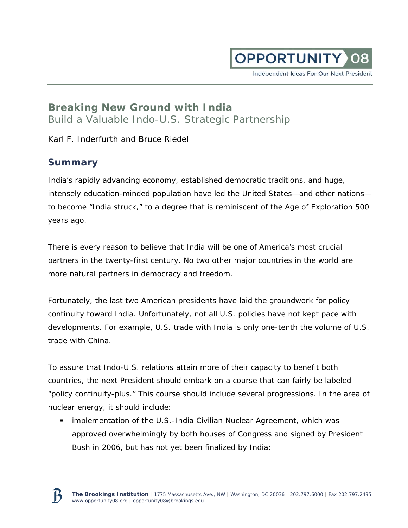

Independent Ideas For Our Next President

# **Breaking New Ground with India**  Build a Valuable Indo-U.S. Strategic Partnership

Karl F. Inderfurth and Bruce Riedel

# **Summary**

India's rapidly advancing economy, established democratic traditions, and huge, intensely education-minded population have led the United States—and other nations to become "India struck," to a degree that is reminiscent of the Age of Exploration 500 years ago.

There is every reason to believe that India will be one of America's most crucial partners in the twenty-first century. No two other major countries in the world are more natural partners in democracy and freedom.

Fortunately, the last two American presidents have laid the groundwork for policy continuity toward India. Unfortunately, not all U.S. policies have not kept pace with developments. For example, U.S. trade with India is only one-tenth the volume of U.S. trade with China.

To assure that Indo-U.S. relations attain more of their capacity to benefit both countries, the next President should embark on a course that can fairly be labeled "policy continuity-plus." This course should include several progressions. In the area of nuclear energy, it should include:

 *implementation of the U.S.-India Civilian Nuclear Agreement*, which was approved overwhelmingly by both houses of Congress and signed by President Bush in 2006, but has not yet been finalized by India;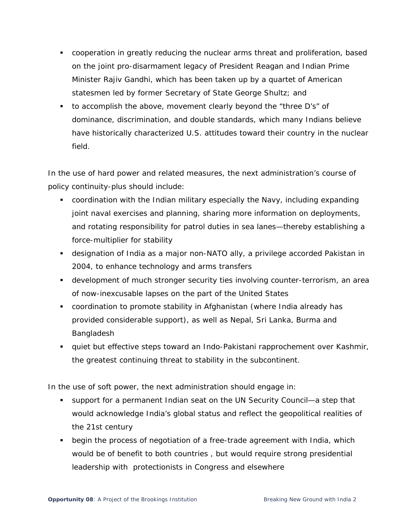- *cooperation in greatly reducing the nuclear arms threat and proliferation*, based on the joint pro-disarmament legacy of President Reagan and Indian Prime Minister Rajiv Gandhi, which has been taken up by a quartet of American statesmen led by former Secretary of State George Shultz; and
- *to accomplish the above, movement clearly beyond the "three D's"* of dominance, discrimination, and double standards, which many Indians believe have historically characterized U.S. attitudes toward their country in the nuclear field.

In the use of hard power and related measures, the next administration's course of policy continuity-plus should include:

- *coordination with the Indian military especially the Navy*, including expanding joint naval exercises and planning, sharing more information on deployments, and rotating responsibility for patrol duties in sea lanes—thereby establishing a force-multiplier for stability
- *designation of India as a major non-NATO ally*, a privilege accorded Pakistan in 2004, to enhance technology and arms transfers
- *development of much stronger security ties involving counter-terrorism*, an area of now-inexcusable lapses on the part of the United States
- *coordination to promote stability* in Afghanistan (where India already has provided considerable support), as well as Nepal, Sri Lanka, Burma and Bangladesh
- *quiet but effective steps toward an Indo-Pakistani rapprochement over Kashmir*, the greatest continuing threat to stability in the subcontinent.

In the use of soft power, the next administration should engage in:

- *support for a permanent Indian seat on the UN Security Council*—a step that would acknowledge India's global status and reflect the geopolitical realities of the 21st century
- *begin the process of negotiation of a free-trade agreement with India*, which would be of benefit to both countries , but would require strong presidential leadership with protectionists in Congress and elsewhere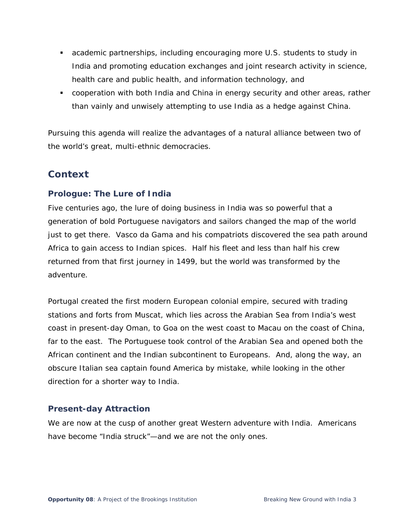- *academic partnerships*, including encouraging more U.S. students to study in India and promoting education exchanges and joint research activity in science, health care and public health, and information technology, and
- *cooperation with both India and China in energy security and other areas*, rather than vainly and unwisely attempting to use India as a hedge against China.

Pursuing this agenda will realize the advantages of a natural alliance between two of the world's great, multi-ethnic democracies.

## **Context**

## **Prologue: The Lure of India**

Five centuries ago, the lure of doing business in India was so powerful that a generation of bold Portuguese navigators and sailors changed the map of the world just to get there. Vasco da Gama and his compatriots discovered the sea path around Africa to gain access to Indian spices. Half his fleet and less than half his crew returned from that first journey in 1499, but the world was transformed by the adventure.

Portugal created the first modern European colonial empire, secured with trading stations and forts from Muscat, which lies across the Arabian Sea from India's west coast in present-day Oman, to Goa on the west coast to Macau on the coast of China, far to the east. The Portuguese took control of the Arabian Sea and opened both the African continent and the Indian subcontinent to Europeans. And, along the way, an obscure Italian sea captain found America by mistake, while looking in the other direction for a shorter way to India.

## **Present-day Attraction**

We are now at the cusp of another great Western adventure with India. Americans have become "India struck"—and we are not the only ones.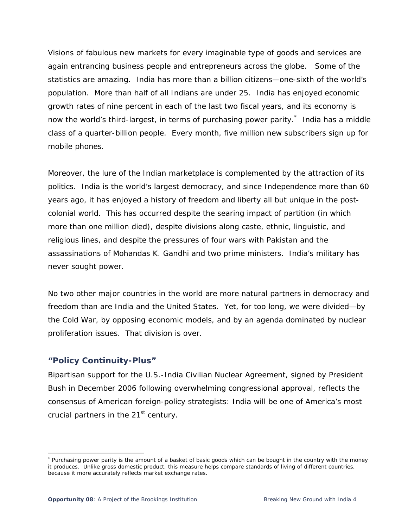Visions of fabulous new markets for every imaginable type of goods and services are again entrancing business people and entrepreneurs across the globe. Some of the statistics are amazing. India has more than a billion citizens—one-sixth of the world's population. More than half of all Indians are under 25. India has enjoyed economic growth rates of nine percent in each of the last two fiscal years, and its economy is now the world's third-largest, in terms of purchasing power parity.<sup>\*</sup> India has a middle class of a quarter-billion people. Every month, five million new subscribers sign up for mobile phones.

Moreover, the lure of the Indian marketplace is complemented by the attraction of its politics. India is the world's largest democracy, and since Independence more than 60 years ago, it has enjoyed a history of freedom and liberty all but unique in the postcolonial world. This has occurred despite the searing impact of partition (in which more than one million died), despite divisions along caste, ethnic, linguistic, and religious lines, and despite the pressures of four wars with Pakistan and the assassinations of Mohandas K. Gandhi and two prime ministers. India's military has never sought power.

No two other major countries in the world are more natural partners in democracy and freedom than are India and the United States. Yet, for too long, we were divided—by the Cold War, by opposing economic models, and by an agenda dominated by nuclear proliferation issues. That division is over.

### **"Policy Continuity-Plus"**

Bipartisan support for the U.S.-India Civilian Nuclear Agreement, signed by President Bush in December 2006 following overwhelming congressional approval, reflects the consensus of American foreign-policy strategists: *India will be one of America's most crucial partners in the 21st century.* 

 \* Purchasing power parity is the amount of a basket of basic goods which can be bought in the country with the money it produces. Unlike gross domestic product, this measure helps compare standards of living of different countries, because it more accurately reflects market exchange rates.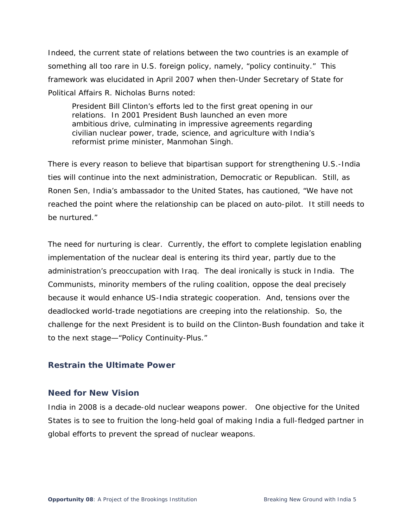Indeed, the current state of relations between the two countries is an example of something all too rare in U.S. foreign policy, namely, "policy continuity." This framework was elucidated in April 2007 when then-Under Secretary of State for Political Affairs R. Nicholas Burns noted:

President Bill Clinton's efforts led to the first great opening in our relations. In 2001 President Bush launched an even more ambitious drive, culminating in impressive agreements regarding civilian nuclear power, trade, science, and agriculture with India's reformist prime minister, Manmohan Singh.

There is every reason to believe that bipartisan support for strengthening U.S.-India ties will continue into the next administration, Democratic or Republican. Still, as Ronen Sen, India's ambassador to the United States, has cautioned, "We have not reached the point where the relationship can be placed on auto-pilot. It still needs to be nurtured."

The need for nurturing is clear. Currently, the effort to complete legislation enabling implementation of the nuclear deal is entering its third year, partly due to the administration's preoccupation with Iraq. The deal ironically is stuck in India. The Communists, minority members of the ruling coalition, oppose the deal precisely because it would enhance US-India strategic cooperation. And, tensions over the deadlocked world-trade negotiations are creeping into the relationship. So, the challenge for the next President is to build on the Clinton-Bush foundation and take it to the next stage—"Policy Continuity-Plus."

### **Restrain the Ultimate Power**

#### **Need for New Vision**

India in 2008 is a decade-old nuclear weapons power. One objective for the United States is to see to fruition the long-held goal of making India a full-fledged partner in global efforts to prevent the spread of nuclear weapons.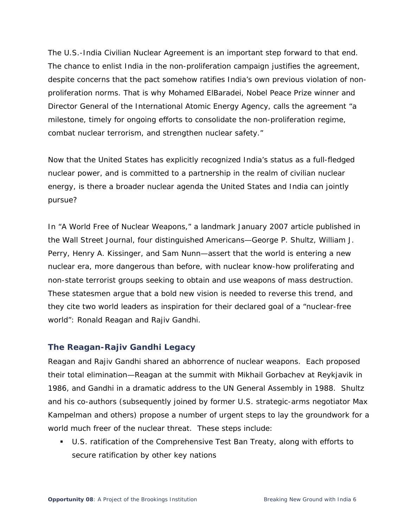The U.S.-India Civilian Nuclear Agreement is an important step forward to that end. The chance to enlist India in the non-proliferation campaign justifies the agreement, despite concerns that the pact somehow ratifies India's own previous violation of nonproliferation norms. That is why Mohamed ElBaradei, Nobel Peace Prize winner and Director General of the International Atomic Energy Agency, calls the agreement "a milestone, timely for ongoing efforts to consolidate the non-proliferation regime, combat nuclear terrorism, and strengthen nuclear safety."

Now that the United States has explicitly recognized India's status as a full-fledged nuclear power, and is committed to a partnership in the realm of civilian nuclear energy, is there a broader nuclear agenda the United States and India can jointly pursue?

In "A World Free of Nuclear Weapons," a landmark January 2007 article published in the *Wall Street Journal*, four distinguished Americans—George P. Shultz, William J. Perry, Henry A. Kissinger, and Sam Nunn—assert that the world is entering a new nuclear era, more dangerous than before, with nuclear know-how proliferating and non-state terrorist groups seeking to obtain and use weapons of mass destruction. These statesmen argue that a bold new vision is needed to reverse this trend, and they cite two world leaders as inspiration for their declared goal of a "nuclear-free world": Ronald Reagan and Rajiv Gandhi.

### **The Reagan-Rajiv Gandhi Legacy**

Reagan and Rajiv Gandhi shared an abhorrence of nuclear weapons. Each proposed their total elimination—Reagan at the summit with Mikhail Gorbachev at Reykjavik in 1986, and Gandhi in a dramatic address to the UN General Assembly in 1988. Shultz and his co-authors (subsequently joined by former U.S. strategic-arms negotiator Max Kampelman and others) propose a number of urgent steps to lay the groundwork for a world much freer of the nuclear threat. These steps include:

 U.S. ratification of the Comprehensive Test Ban Treaty, along with efforts to secure ratification by other key nations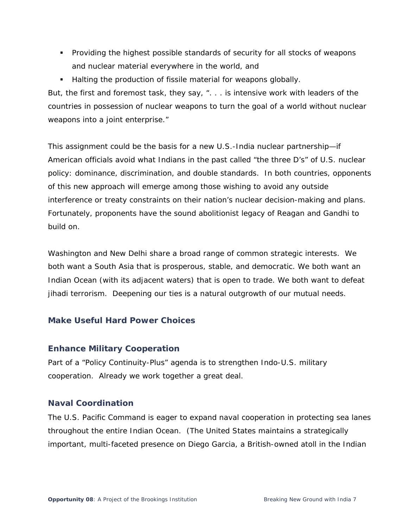- Providing the highest possible standards of security for all stocks of weapons and nuclear material everywhere in the world, and
- Halting the production of fissile material for weapons globally.

But, the first and foremost task, they say, ". . . is intensive work with leaders of the countries in possession of nuclear weapons to turn the goal of a world without nuclear weapons into a joint enterprise."

This assignment could be the basis for a new U.S.-India nuclear partnership—*if* American officials avoid what Indians in the past called "the three D's" of U.S. nuclear policy: dominance, discrimination, and double standards. In both countries, opponents of this new approach will emerge among those wishing to avoid any outside interference or treaty constraints on their nation's nuclear decision-making and plans. Fortunately, proponents have the sound abolitionist legacy of Reagan and Gandhi to build on.

Washington and New Delhi share a broad range of common strategic interests. We both want a South Asia that is prosperous, stable, and democratic. We both want an Indian Ocean (with its adjacent waters) that is open to trade. We both want to defeat *jihadi* terrorism. Deepening our ties is a natural outgrowth of our mutual needs.

## **Make Useful Hard Power Choices**

### **Enhance Military Cooperation**

Part of a "Policy Continuity-Plus" agenda is to strengthen Indo-U.S. military cooperation. Already we work together a great deal.

## **Naval Coordination**

The U.S. Pacific Command is eager to expand naval cooperation in protecting sea lanes throughout the entire Indian Ocean. (The United States maintains a strategically important, multi-faceted presence on Diego Garcia, a British-owned atoll in the Indian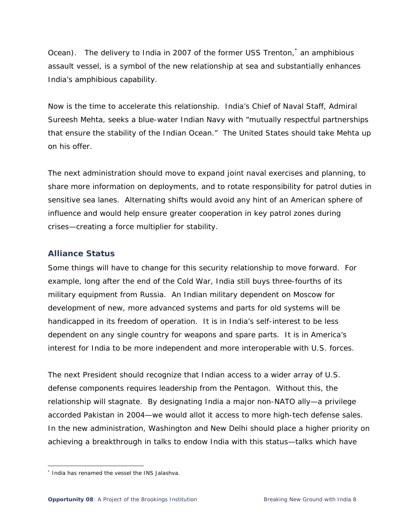Ocean). The delivery to India in 2007 of the former USS *Trenton*,<sup>\*</sup> an amphibious assault vessel, is a symbol of the new relationship at sea and substantially enhances India's amphibious capability.

Now is the time to accelerate this relationship. India's Chief of Naval Staff, Admiral Sureesh Mehta, seeks a blue-water Indian Navy with "mutually respectful partnerships that ensure the stability of the Indian Ocean." The United States should take Mehta up on his offer.

The next administration should move to expand joint naval exercises and planning, to share more information on deployments, and to rotate responsibility for patrol duties in sensitive sea lanes. Alternating shifts would avoid any hint of an American sphere of influence and would help ensure greater cooperation in key patrol zones during crises—creating a force multiplier for stability.

## **Alliance Status**

Some things will have to change for this security relationship to move forward. For example, long after the end of the Cold War, India still buys three-fourths of its military equipment from Russia. An Indian military dependent on Moscow for development of new, more advanced systems and parts for old systems will be handicapped in its freedom of operation. It is in India's self-interest to be less dependent on any single country for weapons and spare parts. It is in America's interest for India to be more independent and more interoperable with U.S. forces.

*The next President should recognize that Indian access to a wider array of U.S. defense components requires leadership from the Pentagon.* Without this, the relationship will stagnate. By designating India a major non-NATO ally—a privilege accorded Pakistan in 2004—we would allot it access to more high-tech defense sales. In the new administration, Washington and New Delhi should place a higher priority on achieving a breakthrough in talks to endow India with this status—talks which have

 $\overline{a}$ 

<sup>\*</sup> India has renamed the vessel the INS *Jalashva*.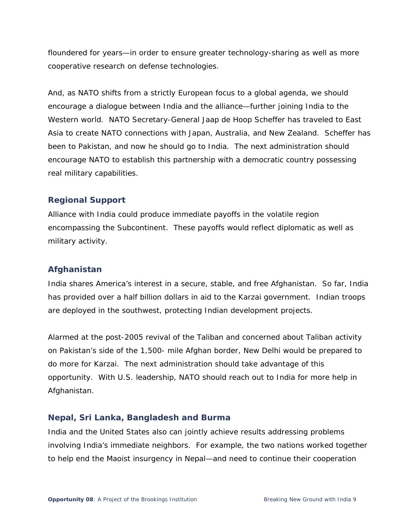floundered for years—in order to ensure greater technology-sharing as well as more cooperative research on defense technologies.

And, as NATO shifts from a strictly European focus to a global agenda, we should encourage a dialogue between India and the alliance—further joining India to the Western world. NATO Secretary-General Jaap de Hoop Scheffer has traveled to East Asia to create NATO connections with Japan, Australia, and New Zealand. Scheffer has been to Pakistan, and now he should go to India. The next administration should encourage NATO to establish this partnership with a democratic country possessing real military capabilities.

## **Regional Support**

Alliance with India could produce immediate payoffs in the volatile region encompassing the Subcontinent. These payoffs would reflect diplomatic as well as military activity.

## **Afghanistan**

India shares America's interest in a secure, stable, and free Afghanistan. So far, India has provided over a half billion dollars in aid to the Karzai government. Indian troops are deployed in the southwest, protecting Indian development projects.

Alarmed at the post-2005 revival of the Taliban and concerned about Taliban activity on Pakistan's side of the 1,500- mile Afghan border, New Delhi would be prepared to do more for Karzai. The next administration should take advantage of this opportunity. With U.S. leadership, NATO should reach out to India for more help in Afghanistan.

### **Nepal, Sri Lanka, Bangladesh and Burma**

India and the United States also can jointly achieve results addressing problems involving India's immediate neighbors. For example, the two nations worked together to help end the Maoist insurgency in Nepal—and need to continue their cooperation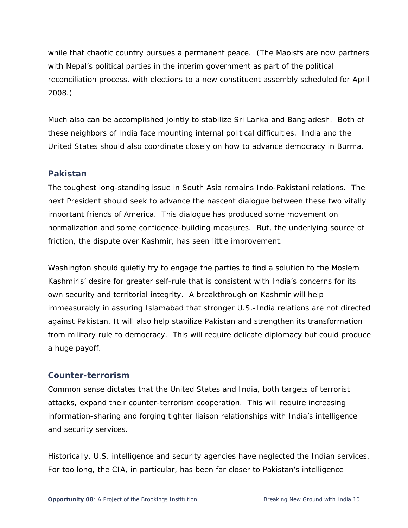while that chaotic country pursues a permanent peace. (The Maoists are now partners with Nepal's political parties in the interim government as part of the political reconciliation process, with elections to a new constituent assembly scheduled for April 2008.)

Much also can be accomplished jointly to stabilize Sri Lanka and Bangladesh. Both of these neighbors of India face mounting internal political difficulties. India and the United States should also coordinate closely on how to advance democracy in Burma.

### **Pakistan**

*The toughest long-standing issue in South Asia remains Indo-Pakistani relations.* The next President should seek to advance the nascent dialogue between these two vitally important friends of America. This dialogue has produced some movement on normalization and some confidence-building measures. But, the underlying source of friction, the dispute over Kashmir, has seen little improvement.

Washington should quietly try to engage the parties to find a solution to the Moslem Kashmiris' desire for greater self-rule that is consistent with India's concerns for its own security and territorial integrity. A breakthrough on Kashmir will help immeasurably in assuring Islamabad that stronger U.S.-India relations are not directed against Pakistan. It will also help stabilize Pakistan and strengthen its transformation from military rule to democracy. This will require delicate diplomacy but could produce a huge payoff.

#### **Counter-terrorism**

Common sense dictates that the United States and India, both targets of terrorist attacks, expand their counter-terrorism cooperation. This will require increasing information-sharing and forging tighter liaison relationships with India's intelligence and security services.

Historically, U.S. intelligence and security agencies have neglected the Indian services. For too long, the CIA, in particular, has been far closer to Pakistan's intelligence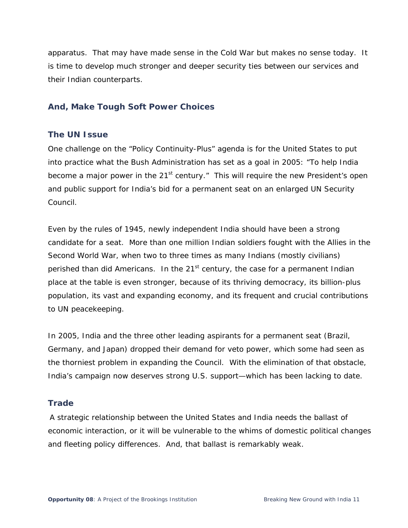apparatus. That may have made sense in the Cold War but makes no sense today. It is time to develop much stronger and deeper security ties between our services and their Indian counterparts.

## **And, Make Tough Soft Power Choices**

## **The UN Issue**

One challenge on the "Policy Continuity-Plus" agenda is for the United States to put into practice what the Bush Administration has set as a goal in 2005: "To help India become a major power in the  $21<sup>st</sup>$  century." This will require the new President's open and public support for India's bid for a permanent seat on an enlarged UN Security Council.

Even by the rules of 1945, newly independent India should have been a strong candidate for a seat. More than one million Indian soldiers fought with the Allies in the Second World War, when two to three times as many Indians (mostly civilians) perished than did Americans. In the  $21<sup>st</sup>$  century, the case for a permanent Indian place at the table is even stronger, because of its thriving democracy, its billion-plus population, its vast and expanding economy, and its frequent and crucial contributions to UN peacekeeping.

In 2005, India and the three other leading aspirants for a permanent seat (Brazil, Germany, and Japan) dropped their demand for veto power, which some had seen as the thorniest problem in expanding the Council. With the elimination of that obstacle, India's campaign now deserves strong U.S. support—which has been lacking to date.

### **Trade**

 A strategic relationship between the United States and India needs the ballast of economic interaction, or it will be vulnerable to the whims of domestic political changes and fleeting policy differences. And, that ballast is remarkably weak.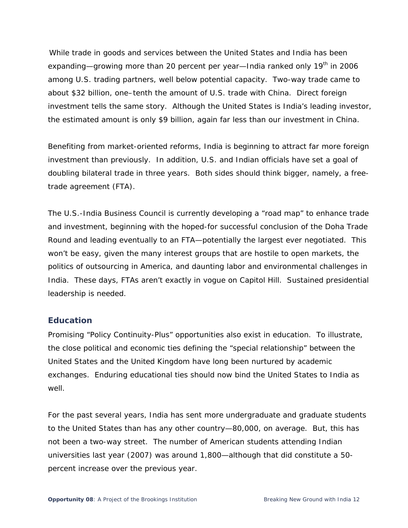While trade in goods and services between the United States and India has been expanding—growing more than 20 percent per year—India ranked only 19<sup>th</sup> in 2006 among U.S. trading partners, well below potential capacity. Two-way trade came to about \$32 billion, one–tenth the amount of U.S. trade with China. Direct foreign investment tells the same story. Although the United States is India's leading investor, the estimated amount is only \$9 billion, again far less than our investment in China.

Benefiting from market-oriented reforms, India is beginning to attract far more foreign investment than previously. In addition, U.S. and Indian officials have set a goal of doubling bilateral trade in three years. *Both sides should think bigger, namely, a freetrade agreement (FTA).* 

The U.S.-India Business Council is currently developing a "road map" to enhance trade and investment, beginning with the hoped-for successful conclusion of the Doha Trade Round and leading eventually to an FTA—potentially the largest ever negotiated. This won't be easy, given the many interest groups that are hostile to open markets, the politics of outsourcing in America, and daunting labor and environmental challenges in India. These days, FTAs aren't exactly in vogue on Capitol Hill. Sustained presidential leadership is needed.

### **Education**

Promising "Policy Continuity-Plus" opportunities also exist in education. To illustrate, the close political and economic ties defining the "special relationship" between the United States and the United Kingdom have long been nurtured by academic exchanges. Enduring educational ties should now bind the United States to India as well.

For the past several years, India has sent more undergraduate and graduate students to the United States than has any other country—80,000, on average. But, this has not been a two-way street. The number of American students attending Indian universities last year (2007) was around 1,800—although that did constitute a 50 percent increase over the previous year.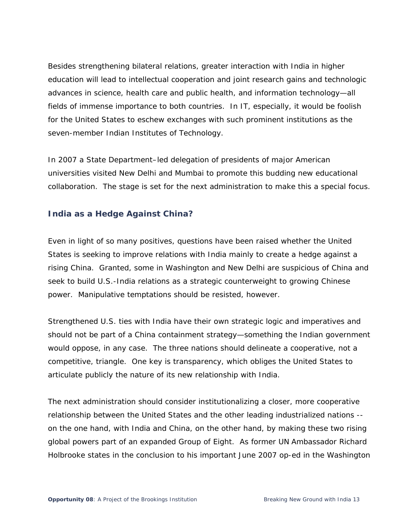Besides strengthening bilateral relations, greater interaction with India in higher education will lead to intellectual cooperation and joint research gains and technologic advances in science, health care and public health, and information technology—all fields of immense importance to both countries. In IT, especially, it would be foolish for the United States to eschew exchanges with such prominent institutions as the seven-member Indian Institutes of Technology.

In 2007 a State Department–led delegation of presidents of major American universities visited New Delhi and Mumbai to promote this budding new educational collaboration. The stage is set for the next administration to make this a special focus.

## **India as a Hedge Against China?**

Even in light of so many positives, questions have been raised whether the United States is seeking to improve relations with India mainly to create a hedge against a rising China. Granted, some in Washington and New Delhi are suspicious of China and seek to build U.S.-India relations as a strategic counterweight to growing Chinese power. Manipulative temptations should be resisted, however.

Strengthened U.S. ties with India have their own strategic logic and imperatives and should not be part of a China containment strategy—something the Indian government would oppose, in any case. The three nations should delineate a cooperative, not a competitive, triangle. One key is transparency, which obliges the United States to articulate publicly the nature of its new relationship with India.

The next administration should consider institutionalizing a closer, more cooperative relationship between the United States and the other leading industrialized nations - on the one hand, with India and China, on the other hand, by making these two rising global powers part of an expanded Group of Eight. As former UN Ambassador Richard Holbrooke states in the conclusion to his important June 2007 op-ed in the Washington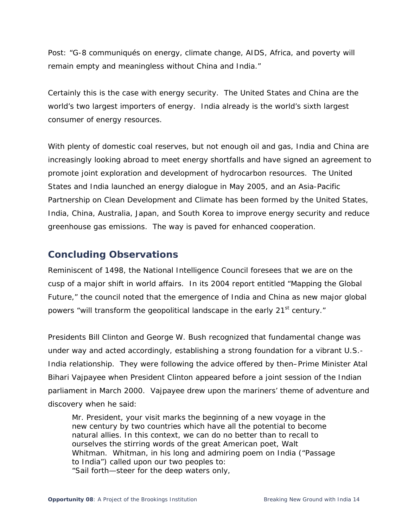*Post*: "G-8 communiqués on energy, climate change, AIDS, Africa, and poverty will remain empty and meaningless without China and India."

Certainly this is the case with energy security. The United States and China are the world's two largest importers of energy. India already is the world's sixth largest consumer of energy resources.

With plenty of domestic coal reserves, but not enough oil and gas, India and China are increasingly looking abroad to meet energy shortfalls and have signed an agreement to promote joint exploration and development of hydrocarbon resources. The United States and India launched an energy dialogue in May 2005, and an Asia-Pacific Partnership on Clean Development and Climate has been formed by the United States, India, China, Australia, Japan, and South Korea to improve energy security and reduce greenhouse gas emissions. The way is paved for enhanced cooperation.

## **Concluding Observations**

Reminiscent of 1498, the National Intelligence Council foresees that we are on the cusp of a major shift in world affairs. In its 2004 report entitled "Mapping the Global Future," the council noted that the emergence of India and China as new major global powers "will transform the geopolitical landscape in the early 21<sup>st</sup> century."

Presidents Bill Clinton and George W. Bush recognized that fundamental change was under way and acted accordingly, establishing a strong foundation for a vibrant U.S.- India relationship. They were following the advice offered by then–Prime Minister Atal Bihari Vajpayee when President Clinton appeared before a joint session of the Indian parliament in March 2000. Vajpayee drew upon the mariners' theme of adventure and discovery when he said:

Mr. President, your visit marks the beginning of a new voyage in the new century by two countries which have all the potential to become natural allies. In this context, we can do no better than to recall to ourselves the stirring words of the great American poet, Walt Whitman. Whitman, in his long and admiring poem on India ("Passage to India") called upon our two peoples to: *"Sail forth—steer for the deep waters only,*